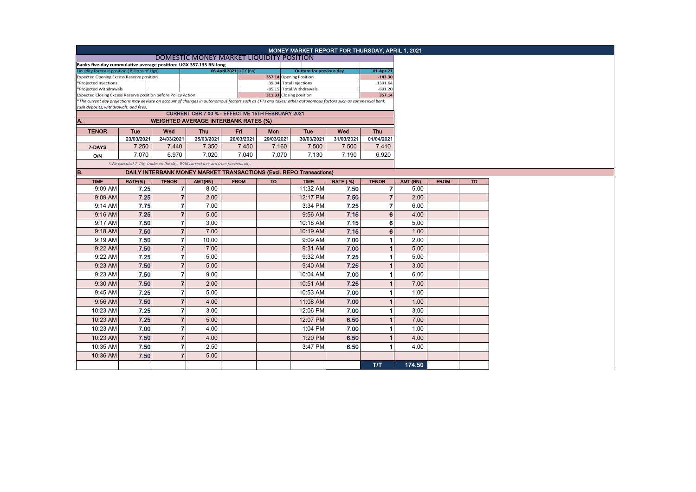|                                                                                                                                                                                                        |                                                                               |                         |                                                                     |                        |                                                   | MONEY MARKET REPORT FOR THURSDAY, APRIL 1, 2021 |                 |                      |        |          |             |  |
|--------------------------------------------------------------------------------------------------------------------------------------------------------------------------------------------------------|-------------------------------------------------------------------------------|-------------------------|---------------------------------------------------------------------|------------------------|---------------------------------------------------|-------------------------------------------------|-----------------|----------------------|--------|----------|-------------|--|
|                                                                                                                                                                                                        |                                                                               |                         |                                                                     |                        |                                                   |                                                 |                 |                      |        |          |             |  |
| Banks five-day cummulative average position: UGX 357.135 BN long                                                                                                                                       |                                                                               |                         |                                                                     |                        |                                                   |                                                 |                 |                      |        |          |             |  |
| Liquidity forecast position (Billions of Ugx)                                                                                                                                                          |                                                                               |                         |                                                                     | 06 April 2021 UGX (Bn) | Outturn for previous day                          |                                                 |                 | 01-Apr-21            |        |          |             |  |
| Expected Opening Excess Reserve position<br>*Projected Injections                                                                                                                                      |                                                                               |                         |                                                                     |                        | 357.14 Opening Position<br>39.34 Total Injections |                                                 |                 | $-143.30$<br>1391.64 |        |          |             |  |
| *Projected Withdrawals                                                                                                                                                                                 |                                                                               |                         |                                                                     |                        | -85.15 Total Withdrawals                          |                                                 |                 | $-891.20$            |        |          |             |  |
| Expected Closing Excess Reserve position before Policy Action                                                                                                                                          |                                                                               |                         |                                                                     |                        | 311.33 Closing position                           |                                                 | 357.14          |                      |        |          |             |  |
| *The current day projections may deviate on account of changes in autonomous factors such as EFTs and taxes; other autonomous factors such as commercial bank<br>cash deposits, withdrawals, and fees. |                                                                               |                         |                                                                     |                        |                                                   |                                                 |                 |                      |        |          |             |  |
| CURRENT CBR 7.00 % - EFFECTIVE 15TH FEBRUARY 2021<br><b>WEIGHTED AVERAGE INTERBANK RATES (%)</b>                                                                                                       |                                                                               |                         |                                                                     |                        |                                                   |                                                 |                 |                      |        |          |             |  |
| A.                                                                                                                                                                                                     |                                                                               |                         |                                                                     |                        |                                                   |                                                 |                 |                      |        |          |             |  |
| <b>TENOR</b>                                                                                                                                                                                           | <b>Tue</b>                                                                    | Wed                     | <b>Thu</b>                                                          | Fri                    | Mon                                               | Tue                                             | Wed             | Thu                  |        |          |             |  |
|                                                                                                                                                                                                        | 23/03/2021                                                                    | 24/03/2021              | 25/03/2021                                                          | 26/03/2021             | 29/03/2021                                        | 30/03/2021                                      | 31/03/2021      | 01/04/2021           |        |          |             |  |
| 7-DAYS                                                                                                                                                                                                 | 7.250                                                                         | 7.440                   | 7.350                                                               | 7.450                  | 7.160                                             | 7.500                                           | 7.500           | 7.410                |        |          |             |  |
| <b>O/N</b>                                                                                                                                                                                             | 7.070                                                                         | 6.970                   | 7.020                                                               | 7.040                  | 7.070                                             | 7.130                                           | 7.190           | 6.920                |        |          |             |  |
|                                                                                                                                                                                                        | *-No executed 7-Day trades on the day. WAR carried forward from previous day. |                         |                                                                     |                        |                                                   |                                                 |                 |                      |        |          |             |  |
| B.                                                                                                                                                                                                     |                                                                               |                         | DAILY INTERBANK MONEY MARKET TRANSACTIONS (Excl. REPO Transactions) |                        |                                                   |                                                 |                 |                      |        |          |             |  |
| <b>TIME</b>                                                                                                                                                                                            | RATE(%)                                                                       | <b>TENOR</b>            | AMT(BN)                                                             | <b>FROM</b>            | <b>TO</b>                                         | <b>TIME</b>                                     | <b>RATE (%)</b> | <b>TENOR</b>         |        | AMT (BN) | <b>FROM</b> |  |
| 9:09 AM                                                                                                                                                                                                | 7.25                                                                          | $\overline{\mathbf{r}}$ | 8.00                                                                |                        |                                                   | 11:32 AM                                        | 7.50            | $\overline{7}$       | 5.00   |          |             |  |
| 9:09 AM                                                                                                                                                                                                | 7.25                                                                          | 7                       | 2.00                                                                |                        |                                                   | 12:17 PM                                        | 7.50            | $\overline{7}$       | 2.00   |          |             |  |
| $9:14$ AM                                                                                                                                                                                              | 7.75                                                                          | $\overline{7}$          | 7.00                                                                |                        |                                                   | 3:34 PM                                         | 7.25            | $\overline{7}$       | 6.00   |          |             |  |
| $9:16$ AM                                                                                                                                                                                              | 7.25                                                                          | $\overline{7}$          | 5.00                                                                |                        |                                                   | 9:56 AM                                         | 7.15            | 6                    | 4.00   |          |             |  |
| 9:17 AM                                                                                                                                                                                                | 7.50                                                                          | $\overline{7}$          | 3.00                                                                |                        |                                                   | 10:18 AM                                        | 7.15            | 6                    | 5.00   |          |             |  |
| 9:18 AM                                                                                                                                                                                                | 7.50                                                                          | $\overline{7}$          | 7.00                                                                |                        |                                                   | 10:19 AM                                        | 7.15            | 6                    | 1.00   |          |             |  |
| 9:19 AM                                                                                                                                                                                                | 7.50                                                                          | $\overline{7}$          | 10.00                                                               |                        |                                                   | 9:09 AM                                         | 7.00            | $\mathbf{1}$         | 2.00   |          |             |  |
| 9:22 AM                                                                                                                                                                                                | 7.50                                                                          | $\overline{7}$          | 7.00                                                                |                        |                                                   | 9:31 AM                                         | 7.00            | $\mathbf{1}$         | 5.00   |          |             |  |
| 9:22 AM                                                                                                                                                                                                | 7.25                                                                          | $\overline{7}$          | 5.00                                                                |                        |                                                   | 9:32 AM                                         | 7.25            | $\overline{1}$       | 5.00   |          |             |  |
| 9:23 AM                                                                                                                                                                                                | 7.50                                                                          | $\overline{7}$          | 5.00                                                                |                        |                                                   | 9:40 AM                                         | 7.25            | $\overline{1}$       | 3.00   |          |             |  |
| 9:23 AM                                                                                                                                                                                                | 7.50                                                                          | $\overline{7}$          | 9.00                                                                |                        |                                                   | 10:04 AM                                        | 7.00            | 1                    | 6.00   |          |             |  |
| 9:30 AM                                                                                                                                                                                                | 7.50                                                                          | $\overline{7}$          | 2.00                                                                |                        |                                                   | 10:51 AM                                        | 7.25            |                      | 7.00   |          |             |  |
|                                                                                                                                                                                                        | 7.25                                                                          | $\overline{7}$          |                                                                     |                        |                                                   |                                                 | 7.00            | 1                    | 1.00   |          |             |  |
| 9:45 AM                                                                                                                                                                                                |                                                                               |                         | 5.00                                                                |                        |                                                   | 10:53 AM                                        |                 |                      |        |          |             |  |
| $9:56$ AM                                                                                                                                                                                              | 7.50                                                                          | $\overline{7}$          | 4.00                                                                |                        |                                                   | 11:08 AM                                        | 7.00            | 1                    | 1.00   |          |             |  |
| 10:23 AM                                                                                                                                                                                               | 7.25                                                                          | 7                       | 3.00                                                                |                        |                                                   | 12:06 PM                                        | 7.00            | 1                    | 3.00   |          |             |  |
| 10:23 AM                                                                                                                                                                                               | 7.25                                                                          | $\overline{7}$          | 5.00                                                                |                        |                                                   | 12:07 PM                                        | 6.50            | $\overline{1}$       | 7.00   |          |             |  |
| 10:23 AM                                                                                                                                                                                               | 7.00                                                                          | $\overline{7}$          | 4.00                                                                |                        |                                                   | 1:04 PM                                         | 7.00            | 1                    | 1.00   |          |             |  |
| 10:23 AM                                                                                                                                                                                               | 7.50                                                                          | $\overline{7}$          | 4.00                                                                |                        |                                                   | 1:20 PM                                         | 6.50            | 1                    | 4.00   |          |             |  |
| 10:35 AM                                                                                                                                                                                               | 7.50                                                                          | $\overline{7}$          | 2.50                                                                |                        |                                                   | 3:47 PM                                         | 6.50            |                      | 4.00   |          |             |  |
| 10:36 AM                                                                                                                                                                                               | 7.50                                                                          | $\overline{7}$          | 5.00                                                                |                        |                                                   |                                                 |                 |                      |        |          |             |  |
|                                                                                                                                                                                                        |                                                                               |                         |                                                                     |                        |                                                   |                                                 |                 | TЛ                   | 174.50 |          |             |  |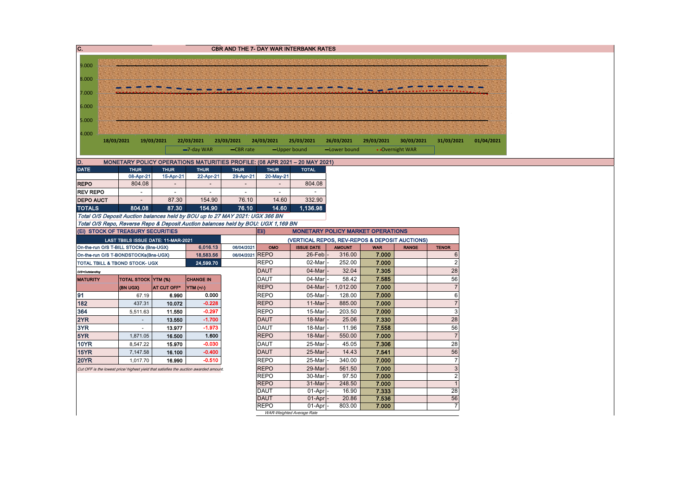| $\overline{c}$ .                                                     |                                                                                                                                        |                |                                     |                             |                                                                                   |                            | <b>CBR AND THE 7- DAY WAR INTERBANK RATES</b>                                              |                            |                                          |                               |                      |            |
|----------------------------------------------------------------------|----------------------------------------------------------------------------------------------------------------------------------------|----------------|-------------------------------------|-----------------------------|-----------------------------------------------------------------------------------|----------------------------|--------------------------------------------------------------------------------------------|----------------------------|------------------------------------------|-------------------------------|----------------------|------------|
|                                                                      |                                                                                                                                        |                |                                     |                             |                                                                                   |                            |                                                                                            |                            |                                          |                               |                      |            |
| 9.000                                                                |                                                                                                                                        |                |                                     |                             |                                                                                   |                            |                                                                                            |                            |                                          |                               |                      |            |
| 8.000                                                                |                                                                                                                                        |                |                                     |                             |                                                                                   |                            |                                                                                            |                            |                                          |                               |                      |            |
| 7.000                                                                |                                                                                                                                        |                |                                     |                             |                                                                                   |                            |                                                                                            |                            |                                          |                               |                      |            |
| 6.000                                                                |                                                                                                                                        |                |                                     |                             |                                                                                   |                            |                                                                                            |                            |                                          |                               |                      |            |
| 5.000                                                                |                                                                                                                                        |                |                                     |                             |                                                                                   |                            |                                                                                            |                            |                                          |                               |                      |            |
| 4.000                                                                |                                                                                                                                        |                |                                     |                             |                                                                                   |                            |                                                                                            |                            |                                          |                               |                      |            |
|                                                                      | 18/03/2021                                                                                                                             |                | 19/03/2021                          | 22/03/2021<br>$-7$ -day WAR | 23/03/2021<br>-CBR rate                                                           | 24/03/2021                 | 25/03/2021<br>-Upper bound                                                                 | 26/03/2021<br>-Lower bound | 29/03/2021                               | 30/03/2021<br>• Overnight WAR | 31/03/2021           | 01/04/2021 |
|                                                                      |                                                                                                                                        |                |                                     |                             |                                                                                   |                            |                                                                                            |                            |                                          |                               |                      |            |
| D.<br><b>DATE</b>                                                    |                                                                                                                                        | <b>THUR</b>    | <b>THUR</b>                         | <b>THUR</b>                 | <b>THUR</b>                                                                       | <b>THUR</b>                | MONETARY POLICY OPERATIONS MATURITIES PROFILE: (08 APR 2021 - 20 MAY 2021)<br><b>TOTAL</b> |                            |                                          |                               |                      |            |
|                                                                      |                                                                                                                                        | 08-Apr-21      | 15-Apr-21                           | 22-Apr-21                   | 29-Apr-21                                                                         | 20-May-21                  |                                                                                            |                            |                                          |                               |                      |            |
| <b>REPO</b>                                                          |                                                                                                                                        | 804.08         |                                     | $\overline{\phantom{a}}$    |                                                                                   |                            | 804.08                                                                                     |                            |                                          |                               |                      |            |
| <b>REV REPO</b>                                                      |                                                                                                                                        | $\blacksquare$ | $\blacksquare$                      | $\blacksquare$              | $\blacksquare$                                                                    | $\overline{a}$             |                                                                                            |                            |                                          |                               |                      |            |
| <b>DEPO AUCT</b>                                                     |                                                                                                                                        | $\sim$         | 87.30                               | 154.90                      | 76.10                                                                             | 14.60                      | 332.90                                                                                     |                            |                                          |                               |                      |            |
| <b>TOTALS</b>                                                        |                                                                                                                                        | 804.08         | 87.30                               | 154.90                      | 76.10                                                                             | 14.60                      | 1,136.98                                                                                   |                            |                                          |                               |                      |            |
|                                                                      |                                                                                                                                        |                |                                     |                             | Total O/S Deposit Auction balances held by BOU up to 27 MAY 2021: UGX 366 BN      |                            |                                                                                            |                            |                                          |                               |                      |            |
|                                                                      |                                                                                                                                        |                |                                     |                             | Total O/S Repo, Reverse Repo & Deposit Auction balances held by BOU: UGX 1,169 BN |                            |                                                                                            |                            |                                          |                               |                      |            |
|                                                                      | (Ei) STOCK OF TREASURY SECURITIES                                                                                                      |                |                                     |                             |                                                                                   | Eii)                       |                                                                                            |                            | <b>MONETARY POLICY MARKET OPERATIONS</b> |                               |                      |            |
|                                                                      |                                                                                                                                        |                | LAST TBIILS ISSUE DATE: 11-MAR-2021 |                             |                                                                                   |                            | (VERTICAL REPOS, REV-REPOS & DEPOSIT AUCTIONS)                                             |                            |                                          |                               |                      |            |
|                                                                      | On-the-run O/S T-BILL STOCKs (Bns-UGX)                                                                                                 |                |                                     | 6,016.13                    | 06/04/2021                                                                        | OMO                        | <b>ISSUE DATE</b>                                                                          | <b>AMOUNT</b>              | <b>WAR</b>                               | <b>RANGE</b>                  | <b>TENOR</b>         |            |
| 06/04/2021 REPO<br>18,583.56<br>On-the-run O/S T-BONDSTOCKs(Bns-UGX) |                                                                                                                                        |                |                                     |                             |                                                                                   | 26-Feb                     | 316.00                                                                                     | 7.000                      |                                          | 6                             |                      |            |
| TOTAL TBILL & TBOND STOCK- UGX<br>24,599.70                          |                                                                                                                                        |                |                                     |                             |                                                                                   | <b>REPO</b>                | 02-Mar                                                                                     | 252.00                     | 7.000                                    |                               | $\overline{c}$<br>28 |            |
| O/S=Outstanding                                                      |                                                                                                                                        |                |                                     |                             |                                                                                   | <b>DAUT</b><br><b>DAUT</b> | 04-Mar<br>04-Mar                                                                           | 32.04<br>58.42             | 7.305                                    |                               | 56                   |            |
| <b>MATURITY</b>                                                      |                                                                                                                                        |                | TOTAL STOCK YTM (%)                 | <b>CHANGE IN</b>            |                                                                                   | <b>REPO</b>                | $04$ -Mar                                                                                  | 1,012.00                   | 7.585<br>7.000                           |                               | $\overline{7}$       |            |
| 91                                                                   | (BN UGX)                                                                                                                               | 67.19          | AT CUT OFF*<br>6.990                | $YTM (+/-)$<br>0.000        |                                                                                   | <b>REPO</b>                | 05-Mar                                                                                     | 128.00                     | 7.000                                    |                               | $\,6\,$              |            |
| 182                                                                  |                                                                                                                                        | 437.31         | 10.072                              | $-0.228$                    |                                                                                   | <b>REPO</b>                | 11-Mar                                                                                     | 885.00                     | 7.000                                    |                               | $\overline{7}$       |            |
| 364                                                                  |                                                                                                                                        | 5,511.63       | 11.550                              | $-0.297$                    |                                                                                   | <b>REPO</b>                | 15-Mar                                                                                     | 203.50                     | 7.000                                    |                               | 3                    |            |
| 2YR                                                                  |                                                                                                                                        | $\sim$         | 13.550                              | $-1.700$                    |                                                                                   | <b>DAUT</b>                | 18-Mar                                                                                     | 25.06                      | 7.330                                    |                               | 28                   |            |
| 3YR                                                                  |                                                                                                                                        | $\omega$       | 13.977                              | $-1.973$                    |                                                                                   | <b>DAUT</b>                | 18-Mar                                                                                     | 11.96                      | 7.558                                    |                               | 56                   |            |
| 5YR                                                                  |                                                                                                                                        | 1,871.05       | 16.500                              | 1.600                       |                                                                                   | <b>REPO</b>                | 18-Mar                                                                                     | 550.00                     | 7.000                                    |                               | $\overline{7}$       |            |
| <b>10YR</b>                                                          |                                                                                                                                        | 8,547.22       | 15.970                              | $-0.030$                    |                                                                                   | <b>DAUT</b>                | 25-Mar                                                                                     | 45.05                      | 7.306                                    |                               | 28                   |            |
| <b>15YR</b>                                                          |                                                                                                                                        | 7,147.58       | 16.100                              | $-0.400$                    |                                                                                   | <b>DAUT</b>                | 25-Mar                                                                                     | 14.43                      | 7.541                                    |                               | 56                   |            |
| <b>20YR</b>                                                          |                                                                                                                                        | 1,017.70       | 16.990                              | $-0.510$                    |                                                                                   | <b>REPO</b>                | 25-Mar                                                                                     | 340.00                     | 7.000                                    |                               | $\overline{7}$       |            |
|                                                                      | 3<br><b>REPO</b><br>29-Mar<br>561.50<br>7.000<br>Cut OFF is the lowest price/ highest yield that satisfies the auction awarded amount. |                |                                     |                             |                                                                                   |                            |                                                                                            |                            |                                          |                               |                      |            |
| <b>REPO</b>                                                          |                                                                                                                                        |                |                                     |                             |                                                                                   |                            | 30-Mar                                                                                     | 97.50                      | 7.000                                    |                               | $\overline{2}$       |            |
| <b>REPO</b>                                                          |                                                                                                                                        |                |                                     |                             |                                                                                   |                            | 31-Mar                                                                                     | 248.50                     | 7.000                                    |                               | $\overline{1}$       |            |
|                                                                      |                                                                                                                                        |                |                                     |                             |                                                                                   | <b>DAUT</b>                | 01-Apr                                                                                     | 16.90                      | 7.333                                    |                               | $\overline{28}$      |            |
|                                                                      |                                                                                                                                        |                |                                     |                             |                                                                                   | <b>DAUT</b>                | 01-Apr                                                                                     | 20.86                      | 7.536                                    |                               | 56                   |            |
|                                                                      |                                                                                                                                        |                |                                     |                             |                                                                                   | <b>REPO</b>                | 01-Apr                                                                                     | 803.00                     | 7.000                                    |                               | $\overline{7}$       |            |
|                                                                      |                                                                                                                                        |                |                                     |                             |                                                                                   |                            | WAR-Weighted Average Rate                                                                  |                            |                                          |                               |                      |            |